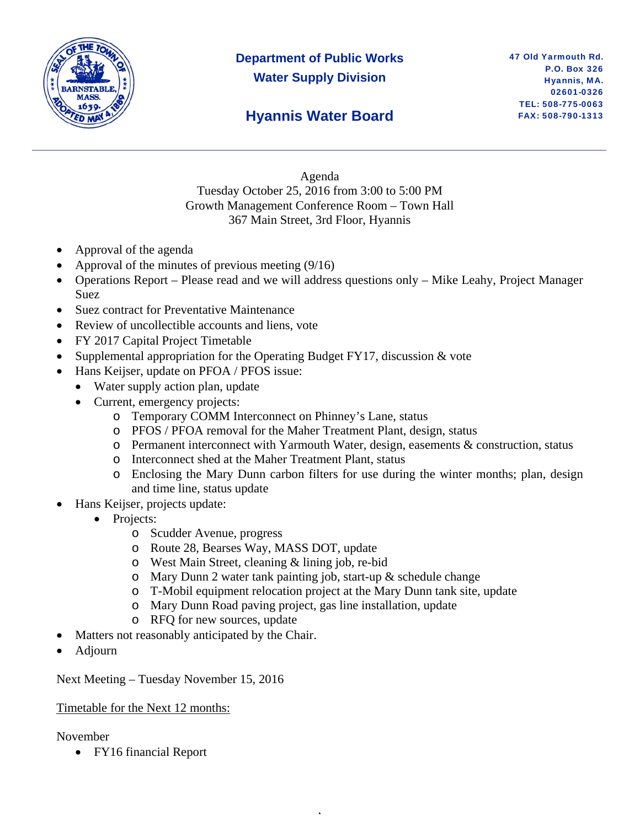

## **Department of Public Works Water Supply Division**

### **Hyannis Water Board**

Agenda Tuesday October 25, 2016 from 3:00 to 5:00 PM Growth Management Conference Room – Town Hall 367 Main Street, 3rd Floor, Hyannis

- Approval of the agenda
- Approval of the minutes of previous meeting (9/16)
- Operations Report Please read and we will address questions only Mike Leahy, Project Manager Suez
- Suez contract for Preventative Maintenance
- Review of uncollectible accounts and liens, vote
- FY 2017 Capital Project Timetable
- Supplemental appropriation for the Operating Budget FY17, discussion & vote
- Hans Keijser, update on PFOA / PFOS issue:
	- Water supply action plan, update
	- Current, emergency projects:
		- o Temporary COMM Interconnect on Phinney's Lane, status
		- o PFOS / PFOA removal for the Maher Treatment Plant, design, status
		- o Permanent interconnect with Yarmouth Water, design, easements & construction, status
		- o Interconnect shed at the Maher Treatment Plant, status
		- o Enclosing the Mary Dunn carbon filters for use during the winter months; plan, design and time line, status update
- Hans Keijser, projects update:
	- Projects:
		- o Scudder Avenue, progress
		- o Route 28, Bearses Way, MASS DOT, update
		- o West Main Street, cleaning & lining job, re-bid
		- o Mary Dunn 2 water tank painting job, start-up & schedule change
		- o T-Mobil equipment relocation project at the Mary Dunn tank site, update

,

- o Mary Dunn Road paving project, gas line installation, update
- o RFQ for new sources, update
- Matters not reasonably anticipated by the Chair.
- Adjourn

Next Meeting – Tuesday November 15, 2016

#### Timetable for the Next 12 months:

#### November

FY16 financial Report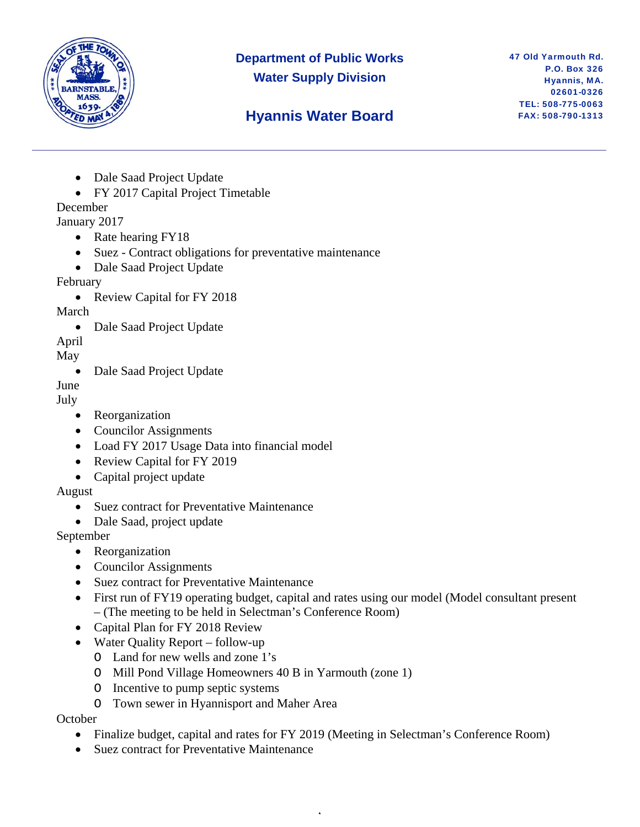

### **Department of Public Works Water Supply Division**

47 Old Yarmouth Rd. P.O. Box 326 Hyannis, MA. 02601-0326 TEL: 508-775-0063 FAX: 508-790-1313

## **Hyannis Water Board**

- Dale Saad Project Update
- FY 2017 Capital Project Timetable

### December

- January 2017
	- Rate hearing FY18
	- Suez Contract obligations for preventative maintenance
	- Dale Saad Project Update

#### February

• Review Capital for FY 2018

#### March

• Dale Saad Project Update

April

#### May

• Dale Saad Project Update

June

July

- Reorganization
- Councilor Assignments
- Load FY 2017 Usage Data into financial model
- Review Capital for FY 2019
- Capital project update

#### August

- Suez contract for Preventative Maintenance
- Dale Saad, project update

#### September

- Reorganization
- Councilor Assignments
- Suez contract for Preventative Maintenance
- First run of FY19 operating budget, capital and rates using our model (Model consultant present – (The meeting to be held in Selectman's Conference Room)
- Capital Plan for FY 2018 Review
- Water Quality Report follow-up
	- O Land for new wells and zone 1's
	- O Mill Pond Village Homeowners 40 B in Yarmouth (zone 1)
	- O Incentive to pump septic systems
	- O Town sewer in Hyannisport and Maher Area

#### **October**

• Finalize budget, capital and rates for FY 2019 (Meeting in Selectman's Conference Room)

,

• Suez contract for Preventative Maintenance